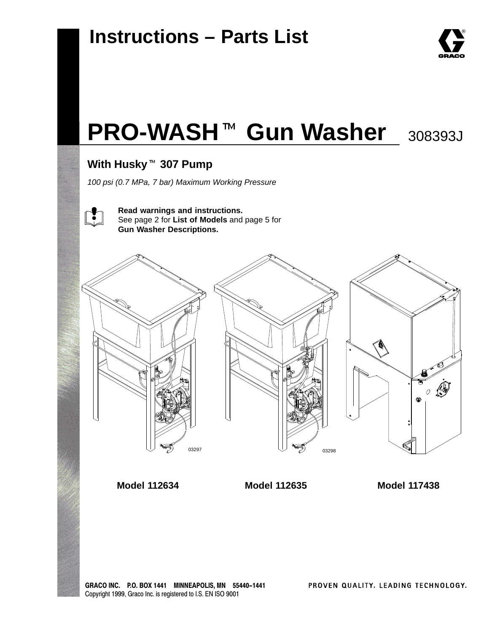

# **PRO-WASH<sup>™</sup> Gun Washer** 308393J

# ————————————————————<br>With Husky <sup>™</sup> 307 Pump

*100 psi (0.7 MPa, 7 bar) Maximum Working Pressure*



**Read warnings and instructions.** See page 2 for **List of Models** and page 5 for **Gun Washer Descriptions.**



**Model 112634 Model 112635**

**Model 117438**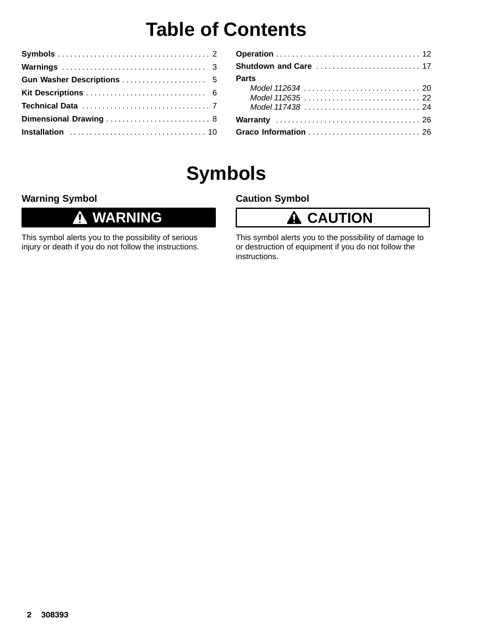# **Table of Contents**

| Dimensional Drawing  8 |  |
|------------------------|--|
|                        |  |

| <b>Parts</b> |
|--------------|
|              |
|              |
|              |
|              |
|              |

# **Symbols**

### **Warning Symbol**

#### **WARNING**  $\bf 0$

This symbol alerts you to the possibility of serious injury or death if you do not follow the instructions.

### **Caution Symbol**

### **A** CAUTION

This symbol alerts you to the possibility of damage to or destruction of equipment if you do not follow the instructions.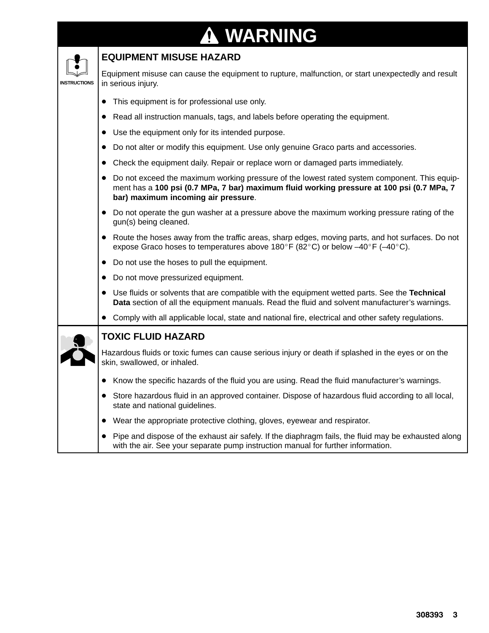# **WARNING**

|                     | <b>EQUIPMENT MISUSE HAZARD</b>                                                                                                                                                                                                   |
|---------------------|----------------------------------------------------------------------------------------------------------------------------------------------------------------------------------------------------------------------------------|
| <b>INSTRUCTIONS</b> | Equipment misuse can cause the equipment to rupture, malfunction, or start unexpectedly and result<br>in serious injury.                                                                                                         |
|                     | This equipment is for professional use only.                                                                                                                                                                                     |
|                     | Read all instruction manuals, tags, and labels before operating the equipment.                                                                                                                                                   |
|                     | Use the equipment only for its intended purpose.                                                                                                                                                                                 |
|                     | Do not alter or modify this equipment. Use only genuine Graco parts and accessories.                                                                                                                                             |
|                     | Check the equipment daily. Repair or replace worn or damaged parts immediately.                                                                                                                                                  |
|                     | Do not exceed the maximum working pressure of the lowest rated system component. This equip-<br>ment has a 100 psi (0.7 MPa, 7 bar) maximum fluid working pressure at 100 psi (0.7 MPa, 7<br>bar) maximum incoming air pressure. |
|                     | Do not operate the gun washer at a pressure above the maximum working pressure rating of the<br>gun(s) being cleaned.                                                                                                            |
|                     | Route the hoses away from the traffic areas, sharp edges, moving parts, and hot surfaces. Do not<br>expose Graco hoses to temperatures above 180°F (82°C) or below $-40^{\circ}$ F ( $-40^{\circ}$ C).                           |
|                     | Do not use the hoses to pull the equipment.<br>$\bullet$                                                                                                                                                                         |
|                     | Do not move pressurized equipment.                                                                                                                                                                                               |
|                     | Use fluids or solvents that are compatible with the equipment wetted parts. See the Technical<br>Data section of all the equipment manuals. Read the fluid and solvent manufacturer's warnings.                                  |
|                     | • Comply with all applicable local, state and national fire, electrical and other safety regulations.                                                                                                                            |
|                     | <b>TOXIC FLUID HAZARD</b>                                                                                                                                                                                                        |
|                     | Hazardous fluids or toxic fumes can cause serious injury or death if splashed in the eyes or on the<br>skin, swallowed, or inhaled.                                                                                              |
|                     | Know the specific hazards of the fluid you are using. Read the fluid manufacturer's warnings.                                                                                                                                    |
|                     | Store hazardous fluid in an approved container. Dispose of hazardous fluid according to all local,<br>state and national guidelines.                                                                                             |
|                     | Wear the appropriate protective clothing, gloves, eyewear and respirator.<br>$\bullet$                                                                                                                                           |
|                     | Pipe and dispose of the exhaust air safely. If the diaphragm fails, the fluid may be exhausted along<br>with the air. See your separate pump instruction manual for further information.                                         |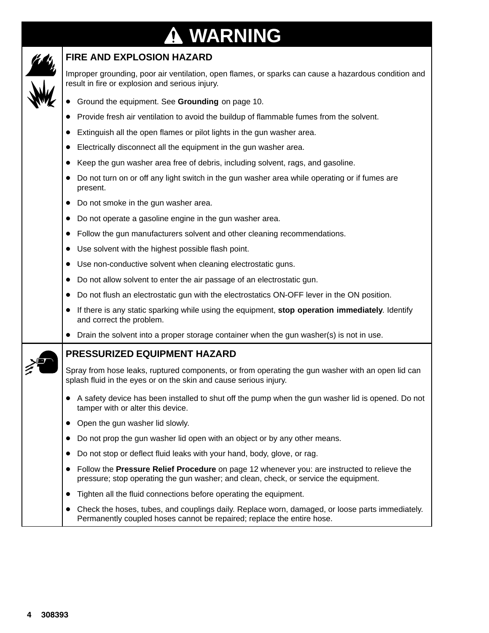### **WARNING**  $\bf \Phi$



### **FIRE AND EXPLOSION HAZARD**

Improper grounding, poor air ventilation, open flames, or sparks can cause a hazardous condition and result in fire or explosion and serious injury.

- Ground the equipment. See **Grounding** on page 10.
- $\bullet$ Provide fresh air ventilation to avoid the buildup of flammable fumes from the solvent.
- $\bullet$ Extinguish all the open flames or pilot lights in the gun washer area.
- $\bullet$ Electrically disconnect all the equipment in the gun washer area.
- Keep the gun washer area free of debris, including solvent, rags, and gasoline.
- Do not turn on or off any light switch in the gun washer area while operating or if fumes are present.
- Do not smoke in the gun washer area.
- Do not operate a gasoline engine in the gun washer area.
- $\bullet$ Follow the gun manufacturers solvent and other cleaning recommendations.
- Use solvent with the highest possible flash point.
- Use non-conductive solvent when cleaning electrostatic guns.
- Do not allow solvent to enter the air passage of an electrostatic gun.
- Do not flush an electrostatic gun with the electrostatics ON-OFF lever in the ON position.
- $\bullet$  If there is any static sparking while using the equipment, **stop operation immediately**. Identify and correct the problem.
- Drain the solvent into a proper storage container when the gun washer(s) is not in use.

### **PRESSURIZED EQUIPMENT HAZARD**

Spray from hose leaks, ruptured components, or from operating the gun washer with an open lid can splash fluid in the eyes or on the skin and cause serious injury.

- A safety device has been installed to shut off the pump when the gun washer lid is opened. Do not tamper with or alter this device.
- Open the gun washer lid slowly.
- Do not prop the gun washer lid open with an object or by any other means.
- Do not stop or deflect fluid leaks with your hand, body, glove, or rag.
- Follow the **Pressure Relief Procedure** on page 12 whenever you: are instructed to relieve the pressure; stop operating the gun washer; and clean, check, or service the equipment.
- Tighten all the fluid connections before operating the equipment.
- Check the hoses, tubes, and couplings daily. Replace worn, damaged, or loose parts immediately. Permanently coupled hoses cannot be repaired; replace the entire hose.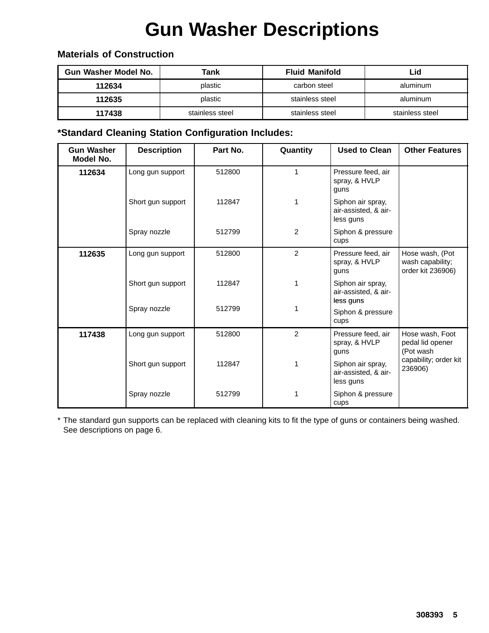# **Gun Washer Descriptions**

| <b>Gun Washer Model No.</b> | Tank            | <b>Fluid Manifold</b> | Lid             |
|-----------------------------|-----------------|-----------------------|-----------------|
| 112634                      | plastic         | carbon steel          | aluminum        |
| 112635                      | plastic         | stainless steel       | aluminum        |
| 117438                      | stainless steel | stainless steel       | stainless steel |

### **Materials of Construction**

### **\*Standard Cleaning Station Configuration Includes:**

| <b>Gun Washer</b><br>Model No. | <b>Description</b> | Part No. | Quantity       | <b>Used to Clean</b>                                   | <b>Other Features</b>                                    |
|--------------------------------|--------------------|----------|----------------|--------------------------------------------------------|----------------------------------------------------------|
| 112634                         | Long gun support   | 512800   | 1              | Pressure feed, air<br>spray, & HVLP<br>guns            |                                                          |
|                                | Short gun support  | 112847   |                | Siphon air spray,<br>air-assisted, & air-<br>less guns |                                                          |
|                                | Spray nozzle       | 512799   | 2              | Siphon & pressure<br>cups                              |                                                          |
| 112635                         | Long gun support   | 512800   | $\overline{2}$ | Pressure feed, air<br>spray, & HVLP<br>guns            | Hose wash, (Pot<br>wash capability;<br>order kit 236906) |
|                                | Short gun support  | 112847   | 1              | Siphon air spray,<br>air-assisted, & air-<br>less guns |                                                          |
|                                | Spray nozzle       | 512799   |                | Siphon & pressure<br>cups                              |                                                          |
| 117438                         | Long gun support   | 512800   | $\overline{2}$ | Pressure feed, air<br>spray, & HVLP<br>guns            | Hose wash, Foot<br>pedal lid opener<br>(Pot wash         |
|                                | Short gun support  | 112847   | 1              | Siphon air spray,<br>air-assisted, & air-<br>less guns | capability; order kit<br>236906)                         |
|                                | Spray nozzle       | 512799   |                | Siphon & pressure<br>cups                              |                                                          |

\* The standard gun supports can be replaced with cleaning kits to fit the type of guns or containers being washed. See descriptions on page 6.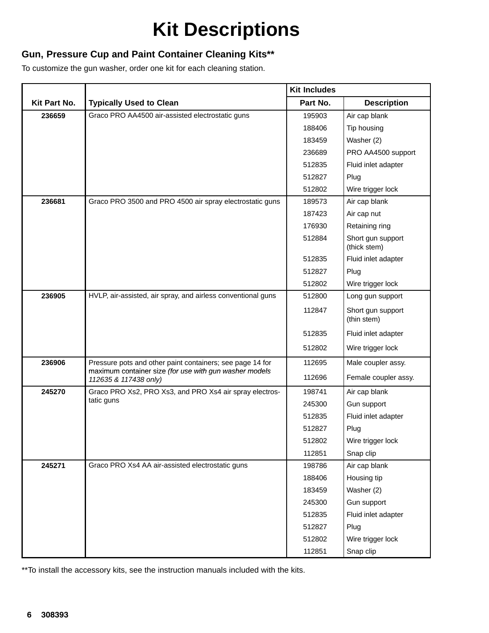# **Kit Descriptions**

### **Gun, Pressure Cup and Paint Container Cleaning Kits\*\***

To customize the gun washer, order one kit for each cleaning station.

|              |                                                                                 | <b>Kit Includes</b> |                                   |
|--------------|---------------------------------------------------------------------------------|---------------------|-----------------------------------|
| Kit Part No. | <b>Typically Used to Clean</b>                                                  | Part No.            | <b>Description</b>                |
| 236659       | Graco PRO AA4500 air-assisted electrostatic guns                                | 195903              | Air cap blank                     |
|              |                                                                                 | 188406              | Tip housing                       |
|              |                                                                                 | 183459              | Washer (2)                        |
|              |                                                                                 | 236689              | PRO AA4500 support                |
|              |                                                                                 | 512835              | Fluid inlet adapter               |
|              |                                                                                 | 512827              | Plug                              |
|              |                                                                                 | 512802              | Wire trigger lock                 |
| 236681       | Graco PRO 3500 and PRO 4500 air spray electrostatic guns                        | 189573              | Air cap blank                     |
|              |                                                                                 | 187423              | Air cap nut                       |
|              |                                                                                 | 176930              | Retaining ring                    |
|              |                                                                                 | 512884              | Short gun support<br>(thick stem) |
|              |                                                                                 | 512835              | Fluid inlet adapter               |
|              |                                                                                 | 512827              | Plug                              |
|              |                                                                                 | 512802              | Wire trigger lock                 |
| 236905       | HVLP, air-assisted, air spray, and airless conventional guns                    | 512800              | Long gun support                  |
|              |                                                                                 | 112847              | Short gun support<br>(thin stem)  |
|              |                                                                                 | 512835              | Fluid inlet adapter               |
|              |                                                                                 | 512802              | Wire trigger lock                 |
| 236906       | Pressure pots and other paint containers; see page 14 for                       | 112695              | Male coupler assy.                |
|              | maximum container size (for use with gun washer models<br>112635 & 117438 only) | 112696              | Female coupler assy.              |
| 245270       | Graco PRO Xs2, PRO Xs3, and PRO Xs4 air spray electros-                         | 198741              | Air cap blank                     |
|              | tatic guns                                                                      | 245300              | Gun support                       |
|              |                                                                                 | 512835              | Fluid inlet adapter               |
|              |                                                                                 | 512827              | Plug                              |
|              |                                                                                 | 512802              | Wire trigger lock                 |
|              |                                                                                 | 112851              | Snap clip                         |
| 245271       | Graco PRO Xs4 AA air-assisted electrostatic guns                                | 198786              | Air cap blank                     |
|              |                                                                                 | 188406              | Housing tip                       |
|              |                                                                                 | 183459              | Washer (2)                        |
|              |                                                                                 | 245300              | Gun support                       |
|              |                                                                                 | 512835              | Fluid inlet adapter               |
|              |                                                                                 | 512827              | Plug                              |
|              |                                                                                 | 512802              | Wire trigger lock                 |
|              |                                                                                 | 112851              | Snap clip                         |

\*\*To install the accessory kits, see the instruction manuals included with the kits.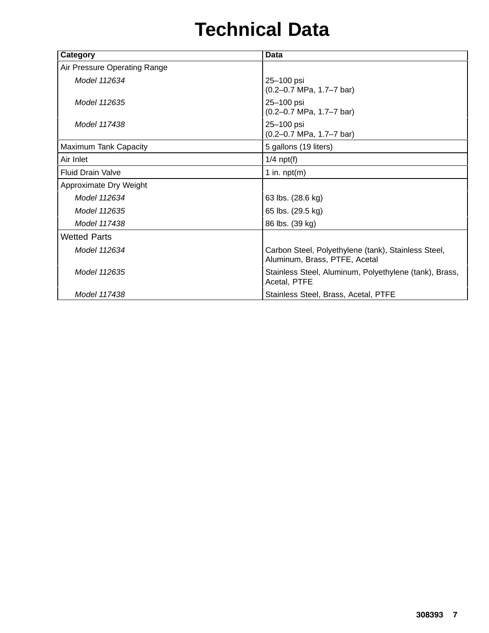# **Technical Data**

| Category                     | Data                                                                                 |
|------------------------------|--------------------------------------------------------------------------------------|
| Air Pressure Operating Range |                                                                                      |
| Model 112634                 | 25-100 psi<br>$(0.2 - 0.7 \text{ MPa}, 1.7 - 7 \text{ bar})$                         |
| Model 112635                 | 25-100 psi<br>$(0.2 - 0.7 \text{ MPa}, 1.7 - 7 \text{ bar})$                         |
| Model 117438                 | 25-100 psi<br>$(0.2 - 0.7 \text{ MPa}, 1.7 - 7 \text{ bar})$                         |
| Maximum Tank Capacity        | 5 gallons (19 liters)                                                                |
| Air Inlet                    | $1/4$ npt(f)                                                                         |
| <b>Fluid Drain Valve</b>     | 1 in. $npt(m)$                                                                       |
| Approximate Dry Weight       |                                                                                      |
| Model 112634                 | 63 lbs. (28.6 kg)                                                                    |
| Model 112635                 | 65 lbs. (29.5 kg)                                                                    |
| Model 117438                 | 86 lbs. (39 kg)                                                                      |
| <b>Wetted Parts</b>          |                                                                                      |
| Model 112634                 | Carbon Steel, Polyethylene (tank), Stainless Steel,<br>Aluminum, Brass, PTFE, Acetal |
| Model 112635                 | Stainless Steel, Aluminum, Polyethylene (tank), Brass,<br>Acetal, PTFE               |
| Model 117438                 | Stainless Steel, Brass, Acetal, PTFE                                                 |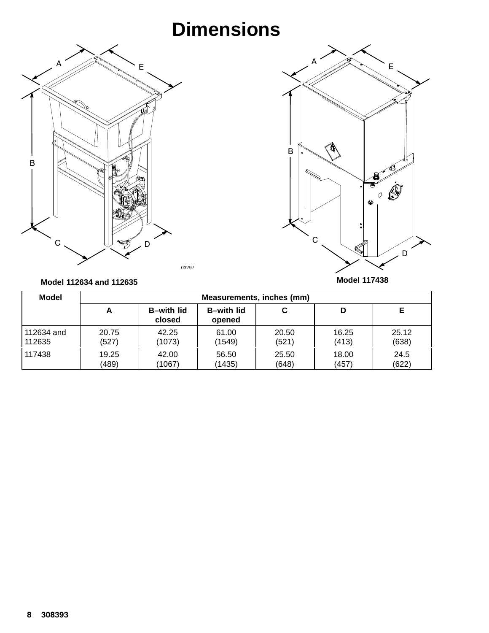# **Dimensions**





#### **Model 112634 and 112635**

| <b>Model</b> |       |                              |                              | Measurements, inches (mm) |       |       |
|--------------|-------|------------------------------|------------------------------|---------------------------|-------|-------|
|              | A     | <b>B</b> -with lid<br>closed | <b>B</b> -with lid<br>opened | С                         | D     |       |
| 112634 and   | 20.75 | 42.25                        | 61.00                        | 20.50                     | 16.25 | 25.12 |
| 112635       | (527) | (1073)                       | (1549)                       | (521)                     | (413) | (638) |
| 117438       | 19.25 | 42.00                        | 56.50                        | 25.50                     | 18.00 | 24.5  |
|              | (489) | (1067)                       | (1435)                       | (648)                     | (457) | (622) |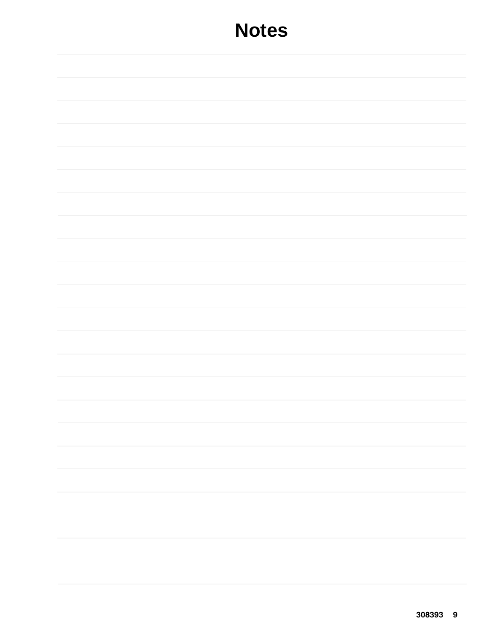## **Notes**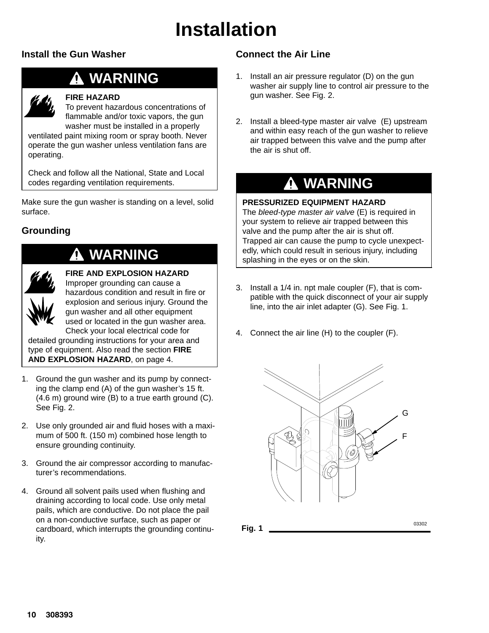# **Installation**

### **Install the Gun Washer**

### **WARNING**



### **FIRE HAZARD**

To prevent hazardous concentrations of flammable and/or toxic vapors, the gun washer must be installed in a properly

ventilated paint mixing room or spray booth. Never operate the gun washer unless ventilation fans are operating.

Check and follow all the National, State and Local codes regarding ventilation requirements.

Make sure the gun washer is standing on a level, solid surface.

### **Grounding**

### **WARNING**



**FIRE AND EXPLOSION HAZARD** Improper grounding can cause a hazardous condition and result in fire or explosion and serious injury. Ground the gun washer and all other equipment used or located in the gun washer area. Check your local electrical code for

detailed grounding instructions for your area and type of equipment. Also read the section **FIRE AND EXPLOSION HAZARD**, on page 4.

- 1. Ground the gun washer and its pump by connecting the clamp end (A) of the gun washer's 15 ft. (4.6 m) ground wire (B) to a true earth ground (C). See Fig. 2.
- 2. Use only grounded air and fluid hoses with a maximum of 500 ft. (150 m) combined hose length to ensure grounding continuity.
- 3. Ground the air compressor according to manufacturer's recommendations.
- 4. Ground all solvent pails used when flushing and draining according to local code. Use only metal pails, which are conductive. Do not place the pail on a non-conductive surface, such as paper or cardboard, which interrupts the grounding continuity.

### **Connect the Air Line**

- 1. Install an air pressure regulator (D) on the gun washer air supply line to control air pressure to the gun washer. See Fig. 2.
- 2. Install a bleed-type master air valve (E) upstream and within easy reach of the gun washer to relieve air trapped between this valve and the pump after the air is shut off.

### **WARNING**

#### **PRESSURIZED EQUIPMENT HAZARD**

The *bleed-type master air valve* (E) is required in your system to relieve air trapped between this valve and the pump after the air is shut off. Trapped air can cause the pump to cycle unexpectedly, which could result in serious injury, including splashing in the eyes or on the skin.

- 3. Install a 1/4 in. npt male coupler (F), that is compatible with the quick disconnect of your air supply line, into the air inlet adapter (G). See Fig. 1.
- 4. Connect the air line (H) to the coupler (F).



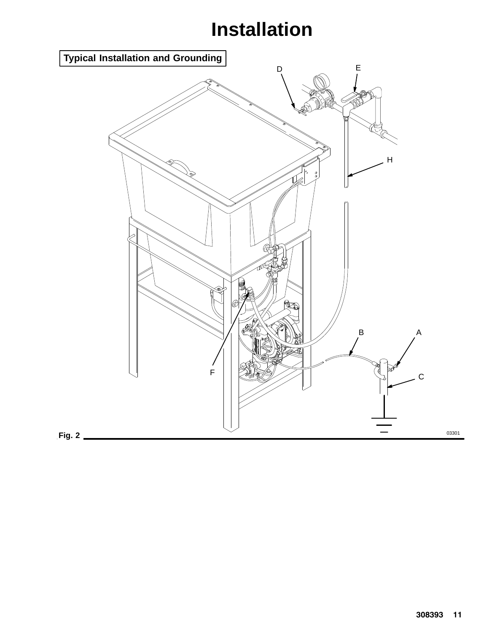# **Installation**

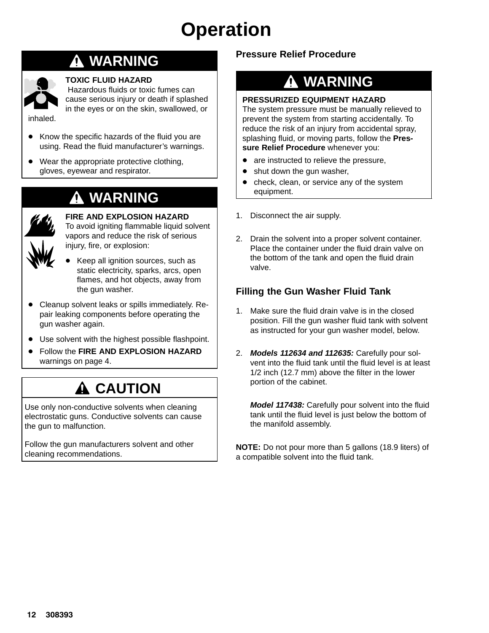### **WARNING**



#### **TOXIC FLUID HAZARD**

 Hazardous fluids or toxic fumes can cause serious injury or death if splashed in the eyes or on the skin, swallowed, or

- inhaled.
- Know the specific hazards of the fluid you are using. Read the fluid manufacturer's warnings.
- $\bullet$  Wear the appropriate protective clothing, gloves, eyewear and respirator.

### **WARNING**



**FIRE AND EXPLOSION HAZARD** To avoid igniting flammable liquid solvent

vapors and reduce the risk of serious injury, fire, or explosion:

- $\bullet$  Keep all ignition sources, such as static electricity, sparks, arcs, open flames, and hot objects, away from the gun washer.
- Cleanup solvent leaks or spills immediately. Repair leaking components before operating the gun washer again.
- Use solvent with the highest possible flashpoint.
- $\bullet$  Follow the **FIRE AND EXPLOSION HAZARD** warnings on page 4.

### **A CAUTION**

Use only non-conductive solvents when cleaning electrostatic guns. Conductive solvents can cause the gun to malfunction.

Follow the gun manufacturers solvent and other cleaning recommendations.

### **Pressure Relief Procedure**

# **WARNING**

### **PRESSURIZED EQUIPMENT HAZARD**

The system pressure must be manually relieved to prevent the system from starting accidentally. To reduce the risk of an injury from accidental spray, splashing fluid, or moving parts, follow the **Pressure Relief Procedure** whenever you:

- $\bullet$ are instructed to relieve the pressure,
- $\bullet$ shut down the gun washer,
- $\bullet$  check, clean, or service any of the system equipment.
- 1. Disconnect the air supply.
- 2. Drain the solvent into a proper solvent container. Place the container under the fluid drain valve on the bottom of the tank and open the fluid drain valve.

### **Filling the Gun Washer Fluid Tank**

- 1. Make sure the fluid drain valve is in the closed position. Fill the gun washer fluid tank with solvent as instructed for your gun washer model, below.
- 2. *Models 112634 and 112635:* Carefully pour solvent into the fluid tank until the fluid level is at least 1/2 inch (12.7 mm) above the filter in the lower portion of the cabinet.

*Model 117438:* Carefully pour solvent into the fluid tank until the fluid level is just below the bottom of the manifold assembly.

**NOTE:** Do not pour more than 5 gallons (18.9 liters) of a compatible solvent into the fluid tank.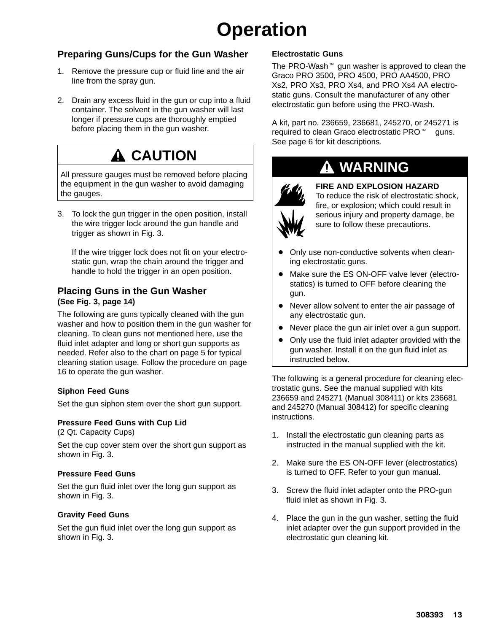### **Preparing Guns/Cups for the Gun Washer**

- 1. Remove the pressure cup or fluid line and the air line from the spray gun.
- 2. Drain any excess fluid in the gun or cup into a fluid container. The solvent in the gun washer will last longer if pressure cups are thoroughly emptied before placing them in the gun washer.

### **CAUTION**

All pressure gauges must be removed before placing the equipment in the gun washer to avoid damaging the gauges.

3. To lock the gun trigger in the open position, install the wire trigger lock around the gun handle and trigger as shown in Fig. 3.

If the wire trigger lock does not fit on your electrostatic gun, wrap the chain around the trigger and handle to hold the trigger in an open position.

#### **Placing Guns in the Gun Washer (See Fig. 3, page 14)**

The following are guns typically cleaned with the gun washer and how to position them in the gun washer for cleaning. To clean guns not mentioned here, use the fluid inlet adapter and long or short gun supports as needed. Refer also to the chart on page 5 for typical cleaning station usage. Follow the procedure on page 16 to operate the gun washer.

#### **Siphon Feed Guns**

Set the gun siphon stem over the short gun support.

#### **Pressure Feed Guns with Cup Lid**

(2 Qt. Capacity Cups)

Set the cup cover stem over the short gun support as shown in Fig. 3.

#### **Pressure Feed Guns**

Set the gun fluid inlet over the long gun support as shown in Fig. 3.

#### **Gravity Feed Guns**

Set the gun fluid inlet over the long gun support as shown in Fig. 3.

#### **Electrostatic Guns**

The PRO-Wash $M$  gun washer is approved to clean the Graco PRO 3500, PRO 4500, PRO AA4500, PRO Xs2, PRO Xs3, PRO Xs4, and PRO Xs4 AA electrostatic guns. Consult the manufacturer of any other electrostatic gun before using the PRO-Wash.

A kit, part no. 236659, 236681, 245270, or 245271 is required to clean Graco electrostatic PRO<sup>™</sup> guns. See page 6 for kit descriptions.

### **WARNING**



#### **FIRE AND EXPLOSION HAZARD**

To reduce the risk of electrostatic shock, fire, or explosion; which could result in serious injury and property damage, be sure to follow these precautions.

- $\bullet$  Only use non-conductive solvents when cleaning electrostatic guns.
- Make sure the ES ON-OFF valve lever (electrostatics) is turned to OFF before cleaning the gun.
- Never allow solvent to enter the air passage of any electrostatic gun.
- Never place the gun air inlet over a gun support.
- $\bullet$  Only use the fluid inlet adapter provided with the gun washer. Install it on the gun fluid inlet as instructed below.

The following is a general procedure for cleaning electrostatic guns. See the manual supplied with kits 236659 and 245271 (Manual 308411) or kits 236681 and 245270 (Manual 308412) for specific cleaning instructions.

- 1. Install the electrostatic gun cleaning parts as instructed in the manual supplied with the kit.
- 2. Make sure the ES ON-OFF lever (electrostatics) is turned to OFF. Refer to your gun manual.
- 3. Screw the fluid inlet adapter onto the PRO-gun fluid inlet as shown in Fig. 3.
- 4. Place the gun in the gun washer, setting the fluid inlet adapter over the gun support provided in the electrostatic gun cleaning kit.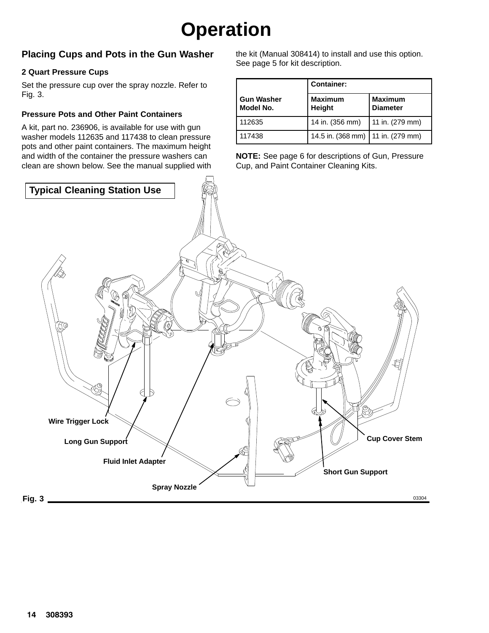### **Placing Cups and Pots in the Gun Washer**

#### **2 Quart Pressure Cups**

Set the pressure cup over the spray nozzle. Refer to Fig. 3.

#### **Pressure Pots and Other Paint Containers**

A kit, part no. 236906, is available for use with gun washer models 112635 and 117438 to clean pressure pots and other paint containers. The maximum height and width of the container the pressure washers can clean are shown below. See the manual supplied with the kit (Manual 308414) to install and use this option. See page 5 for kit description.

|                                | <b>Container:</b>                   |                                   |
|--------------------------------|-------------------------------------|-----------------------------------|
| <b>Gun Washer</b><br>Model No. | <b>Maximum</b><br>Height            | <b>Maximum</b><br><b>Diameter</b> |
| 112635                         | 14 in. (356 mm)                     | 11 in. (279 mm)                   |
| 117438                         | 14.5 in. (368 mm)   11 in. (279 mm) |                                   |

**NOTE:** See page 6 for descriptions of Gun, Pressure Cup, and Paint Container Cleaning Kits.

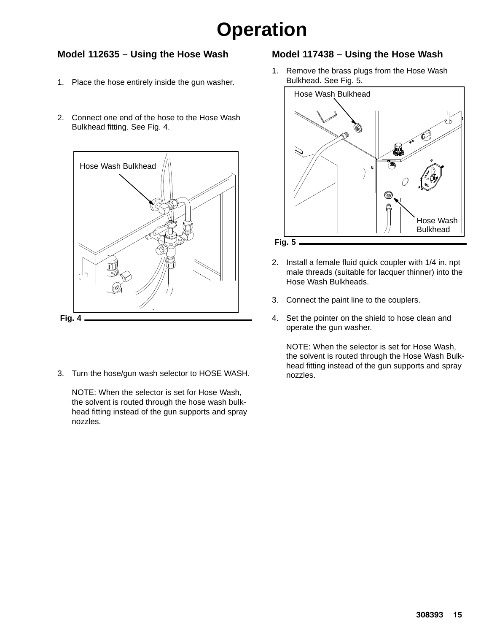### **Model 112635 – Using the Hose Wash**

- 1. Place the hose entirely inside the gun washer.
- 2. Connect one end of the hose to the Hose Wash Bulkhead fitting. See Fig. 4.



3. Turn the hose/gun wash selector to HOSE WASH.

NOTE: When the selector is set for Hose Wash, the solvent is routed through the hose wash bulkhead fitting instead of the gun supports and spray nozzles.

### **Model 117438 – Using the Hose Wash**

1. Remove the brass plugs from the Hose Wash Bulkhead. See Fig. 5.



- 2. Install a female fluid quick coupler with 1/4 in. npt male threads (suitable for lacquer thinner) into the Hose Wash Bulkheads.
- 3. Connect the paint line to the couplers.
- 4. Set the pointer on the shield to hose clean and operate the gun washer.

NOTE: When the selector is set for Hose Wash, the solvent is routed through the Hose Wash Bulkhead fitting instead of the gun supports and spray nozzles.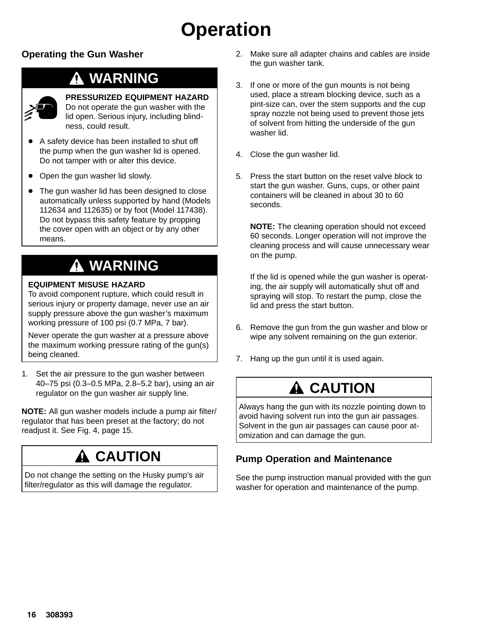### **Operating the Gun Washer**

### **WARNING**



#### **PRESSURIZED EQUIPMENT HAZARD**

Do not operate the gun washer with the lid open. Serious injury, including blindness, could result.

- $\bullet$  A safety device has been installed to shut off the pump when the gun washer lid is opened. Do not tamper with or alter this device.
- Open the gun washer lid slowly.
- The gun washer lid has been designed to close automatically unless supported by hand (Models 112634 and 112635) or by foot (Model 117438). Do not bypass this safety feature by propping the cover open with an object or by any other means.

### **WARNING**

#### **EQUIPMENT MISUSE HAZARD**

To avoid component rupture, which could result in serious injury or property damage, never use an air supply pressure above the gun washer's maximum working pressure of 100 psi (0.7 MPa, 7 bar).

Never operate the gun washer at a pressure above the maximum working pressure rating of the gun(s) being cleaned.

1. Set the air pressure to the gun washer between 40–75 psi (0.3–0.5 MPa, 2.8–5.2 bar), using an air regulator on the gun washer air supply line.

**NOTE:** All gun washer models include a pump air filter/ regulator that has been preset at the factory; do not readjust it. See Fig. 4, page 15.

### **A** CAUTION

Do not change the setting on the Husky pump's air filter/regulator as this will damage the regulator.

- 2. Make sure all adapter chains and cables are inside the gun washer tank.
- 3. If one or more of the gun mounts is not being used, place a stream blocking device, such as a pint-size can, over the stem supports and the cup spray nozzle not being used to prevent those jets of solvent from hitting the underside of the gun washer lid.
- 4. Close the gun washer lid.
- 5. Press the start button on the reset valve block to start the gun washer. Guns, cups, or other paint containers will be cleaned in about 30 to 60 seconds.

**NOTE:** The cleaning operation should not exceed 60 seconds. Longer operation will not improve the cleaning process and will cause unnecessary wear on the pump.

If the lid is opened while the gun washer is operating, the air supply will automatically shut off and spraying will stop. To restart the pump, close the lid and press the start button.

- 6. Remove the gun from the gun washer and blow or wipe any solvent remaining on the gun exterior.
- 7. Hang up the gun until it is used again.

### **A CAUTION**

Always hang the gun with its nozzle pointing down to avoid having solvent run into the gun air passages. Solvent in the gun air passages can cause poor atomization and can damage the gun.

### **Pump Operation and Maintenance**

See the pump instruction manual provided with the gun washer for operation and maintenance of the pump.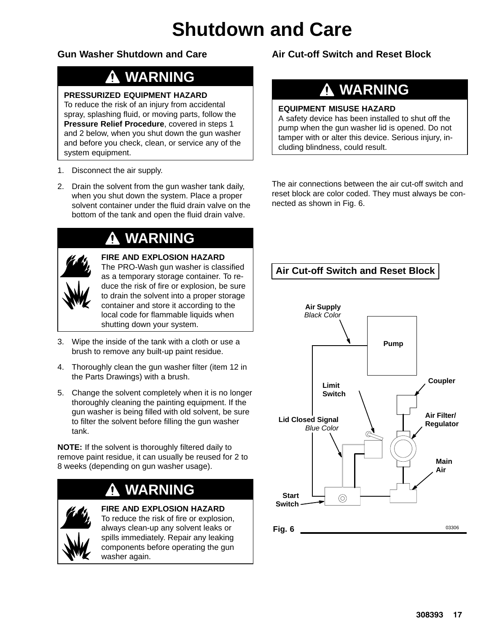# **Shutdown and Care**

### **Gun Washer Shutdown and Care**

### **WARNING**

#### **PRESSURIZED EQUIPMENT HAZARD**

To reduce the risk of an injury from accidental spray, splashing fluid, or moving parts, follow the **Pressure Relief Procedure**, covered in steps 1 and 2 below, when you shut down the gun washer and before you check, clean, or service any of the system equipment.

- 1. Disconnect the air supply.
- 2. Drain the solvent from the gun washer tank daily, when you shut down the system. Place a proper solvent container under the fluid drain valve on the bottom of the tank and open the fluid drain valve.

### **WARNING**

| $\boldsymbol{Q}_j$<br>Ű |
|-------------------------|
| NW                      |

### **FIRE AND EXPLOSION HAZARD**

The PRO-Wash gun washer is classified as a temporary storage container. To reduce the risk of fire or explosion, be sure to drain the solvent into a proper storage container and store it according to the local code for flammable liquids when shutting down your system.

- 3. Wipe the inside of the tank with a cloth or use a brush to remove any built-up paint residue.
- 4. Thoroughly clean the gun washer filter (item 12 in the Parts Drawings) with a brush.
- 5. Change the solvent completely when it is no longer thoroughly cleaning the painting equipment. If the gun washer is being filled with old solvent, be sure to filter the solvent before filling the gun washer tank.

**NOTE:** If the solvent is thoroughly filtered daily to remove paint residue, it can usually be reused for 2 to 8 weeks (depending on gun washer usage).

### **WARNING**



**FIRE AND EXPLOSION HAZARD** To reduce the risk of fire or explosion, always clean-up any solvent leaks or spills immediately. Repair any leaking components before operating the gun washer again.

**Air Cut-off Switch and Reset Block**

### **WARNING**

#### **EQUIPMENT MISUSE HAZARD**

A safety device has been installed to shut off the pump when the gun washer lid is opened. Do not tamper with or alter this device. Serious injury, including blindness, could result.

The air connections between the air cut-off switch and reset block are color coded. They must always be connected as shown in Fig. 6.

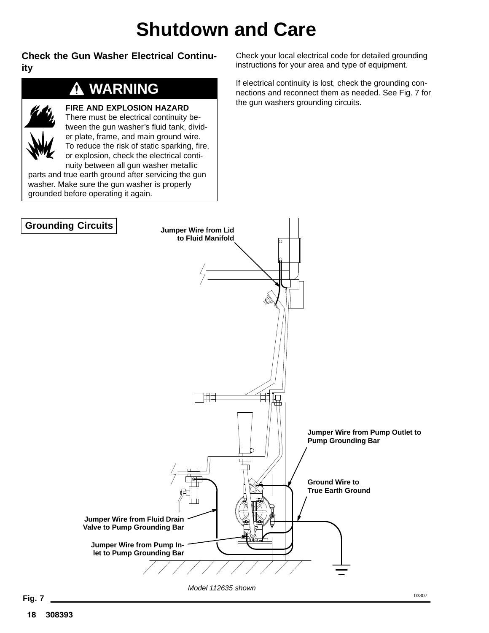# **Shutdown and Care**

**Check the Gun Washer Electrical Continuity**

### **WARNING**

**FIRE AND EXPLOSION HAZARD**



There must be electrical continuity between the gun washer's fluid tank, divider plate, frame, and main ground wire. To reduce the risk of static sparking, fire, or explosion, check the electrical continuity between all gun washer metallic

parts and true earth ground after servicing the gun washer. Make sure the gun washer is properly grounded before operating it again.

Check your local electrical code for detailed grounding instructions for your area and type of equipment.

If electrical continuity is lost, check the grounding connections and reconnect them as needed. See Fig. 7 for the gun washers grounding circuits.

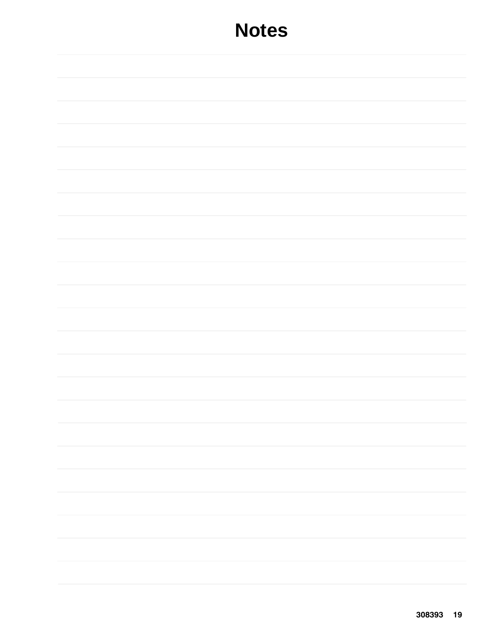### **Notes**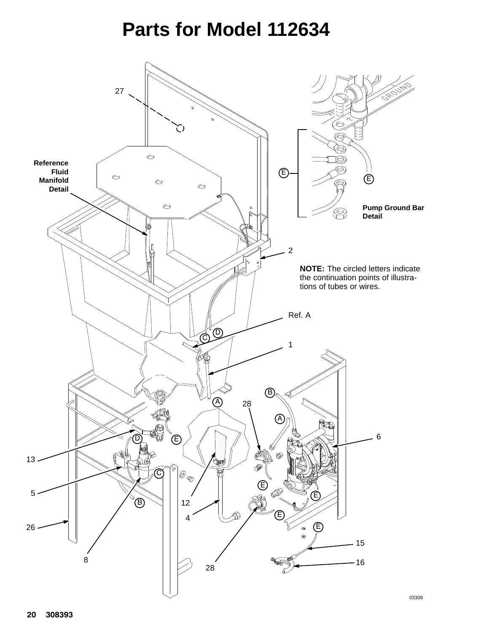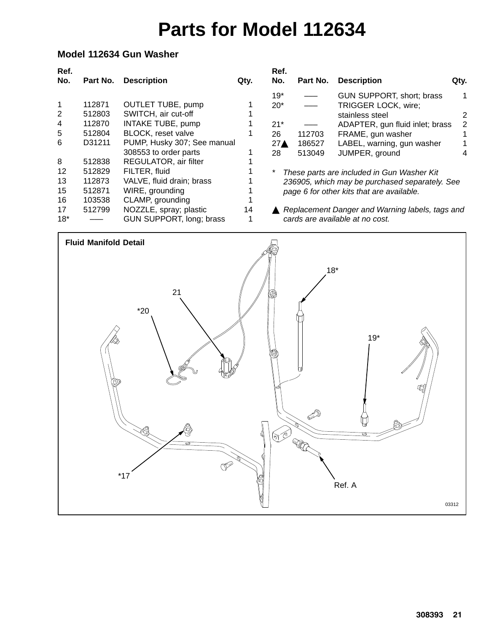### **Model 112634 Gun Washer**

| Ref.<br>No.  | Part No. | <b>Description</b>          | Qty. | Ref.<br>No.     | Part No. | <b>Description</b>                              | Qty. |
|--------------|----------|-----------------------------|------|-----------------|----------|-------------------------------------------------|------|
|              |          |                             |      | $19*$           |          | GUN SUPPORT, short; brass                       | 1    |
| $\mathbf{1}$ | 112871   | <b>OUTLET TUBE, pump</b>    |      | $20*$           |          | TRIGGER LOCK, wire;                             |      |
| 2            | 512803   | SWITCH, air cut-off         |      |                 |          | stainless steel                                 |      |
| 4            | 112870   | <b>INTAKE TUBE, pump</b>    |      | $21*$           |          | ADAPTER, gun fluid inlet; brass                 | 2    |
| 5            | 512804   | BLOCK, reset valve          |      | 26              | 112703   | FRAME, gun washer                               |      |
| 6            | D31211   | PUMP, Husky 307; See manual |      | 27 <sub>A</sub> | 186527   | LABEL, warning, gun washer                      |      |
|              |          | 308553 to order parts       |      | 28              | 513049   | JUMPER, ground                                  |      |
| 8            | 512838   | REGULATOR, air filter       |      |                 |          |                                                 |      |
| 12           | 512829   | FILTER, fluid               |      |                 |          | These parts are included in Gun Washer Kit      |      |
| 13           | 112873   | VALVE, fluid drain; brass   |      |                 |          | 236905, which may be purchased separately. See  |      |
| 15           | 512871   | WIRE, grounding             |      |                 |          | page 6 for other kits that are available.       |      |
| 16           | 103538   | CLAMP, grounding            |      |                 |          |                                                 |      |
| 17           | 512799   | NOZZLE, spray; plastic      | 14   |                 |          | Replacement Danger and Warning labels, tags and |      |
| $18*$        |          | GUN SUPPORT, long; brass    |      |                 |          | cards are available at no cost.                 |      |

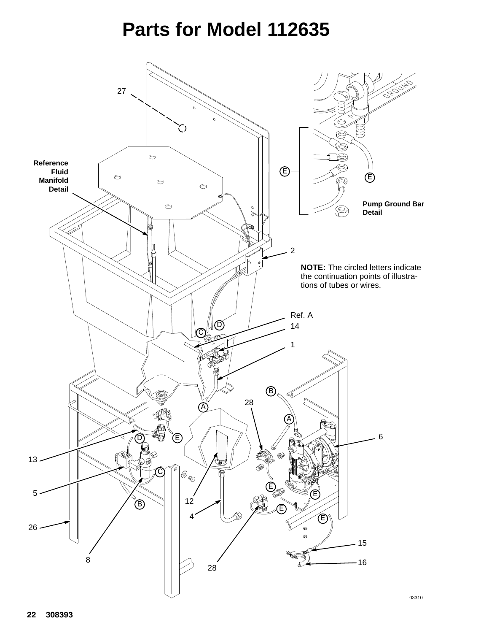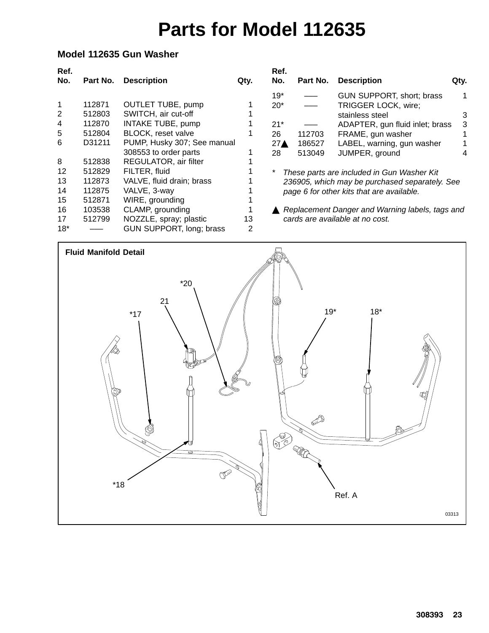### **Model 112635 Gun Washer**

| Ref.<br>No. | Part No. | <b>Description</b>          | Qty. | Ref.<br>No.     | Part No. | <b>Description</b>                              | Qty. |
|-------------|----------|-----------------------------|------|-----------------|----------|-------------------------------------------------|------|
|             |          |                             |      | $19*$           |          | GUN SUPPORT, short; brass                       | 1    |
| 1           | 112871   | <b>OUTLET TUBE, pump</b>    |      | $20*$           |          | TRIGGER LOCK, wire;                             |      |
| 2           | 512803   | SWITCH, air cut-off         |      |                 |          | stainless steel                                 | 3    |
| 4           | 112870   | INTAKE TUBE, pump           |      | $21*$           |          | ADAPTER, gun fluid inlet; brass                 | 3    |
| 5           | 512804   | BLOCK, reset valve          |      | 26              | 112703   | FRAME, gun washer                               |      |
| 6           | D31211   | PUMP, Husky 307; See manual |      | 27 <sub>A</sub> | 186527   | LABEL, warning, gun washer                      |      |
|             |          | 308553 to order parts       |      | 28              | 513049   | JUMPER, ground                                  | 4    |
| 8           | 512838   | REGULATOR, air filter       |      |                 |          |                                                 |      |
| 12          | 512829   | FILTER, fluid               |      |                 |          | These parts are included in Gun Washer Kit      |      |
| 13          | 112873   | VALVE, fluid drain; brass   |      |                 |          | 236905, which may be purchased separately. See  |      |
| 14          | 112875   | VALVE, 3-way                |      |                 |          | page 6 for other kits that are available.       |      |
| 15          | 512871   | WIRE, grounding             |      |                 |          |                                                 |      |
| 16          | 103538   | CLAMP, grounding            |      |                 |          | Replacement Danger and Warning labels, tags and |      |
| 17          | 512799   | NOZZLE, spray; plastic      | 13   |                 |          | cards are available at no cost.                 |      |
| $18*$       |          | GUN SUPPORT, long; brass    | 2    |                 |          |                                                 |      |

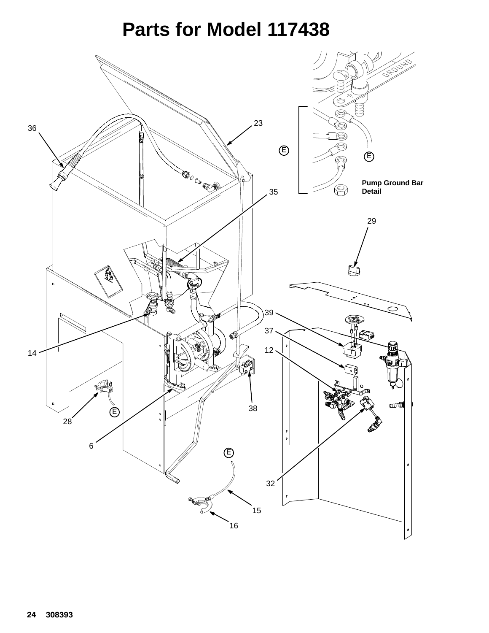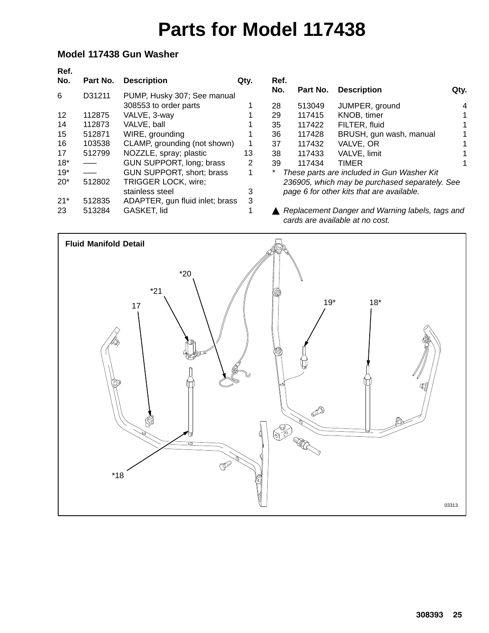### **Model 117438 Gun Washer**

| Ref.<br>No. | Part No. | <b>Description</b>              | Qty. |
|-------------|----------|---------------------------------|------|
| 6           | D31211   | PUMP, Husky 307; See manual     |      |
|             |          | 308553 to order parts           | 1    |
| 12          | 112875   | VALVE, 3-way                    | 1    |
| 14          | 112873   | VALVE, ball                     | 1    |
| 15          | 512871   | WIRE, grounding                 | 1    |
| 16          | 103538   | CLAMP, grounding (not shown)    | 1    |
| 17          | 512799   | NOZZLE, spray; plastic          | 13   |
| $18*$       |          | GUN SUPPORT, long; brass        | 2    |
| $19*$       |          | GUN SUPPORT, short; brass       | 1    |
| $20*$       | 512802   | TRIGGER LOCK, wire;             |      |
|             |          | stainless steel                 | 3    |
| $21*$       | 512835   | ADAPTER, gun fluid inlet; brass | 3    |
| 23          | 513284   | GASKET, lid                     | 1    |
|             |          |                                 |      |

| Ref.<br>No.                                                          |        | Part No. Description    | Qtv. |  |  |  |
|----------------------------------------------------------------------|--------|-------------------------|------|--|--|--|
| 28                                                                   | 513049 | JUMPER, ground          |      |  |  |  |
| 29                                                                   | 117415 | KNOB, timer             | 1    |  |  |  |
| 35                                                                   | 117422 | FILTER, fluid           | 1    |  |  |  |
| 36                                                                   | 117428 | BRUSH, gun wash, manual |      |  |  |  |
| 37                                                                   | 117432 | VALVE, OR               | 1    |  |  |  |
| 38                                                                   | 117433 | VALVE, limit            |      |  |  |  |
| 39                                                                   | 117434 | <b>TIMER</b>            |      |  |  |  |
| *<br>These parts are included in Gun Washer Kit                      |        |                         |      |  |  |  |
| $0.000007$ . It is a second in the second in $\mathcal{O}(10^{-10})$ |        |                         |      |  |  |  |

*236905, which may be purchased separately. See page 6 for other kits that are available.*

 *Replacement Danger and Warning labels, tags and cards are available at no cost.*